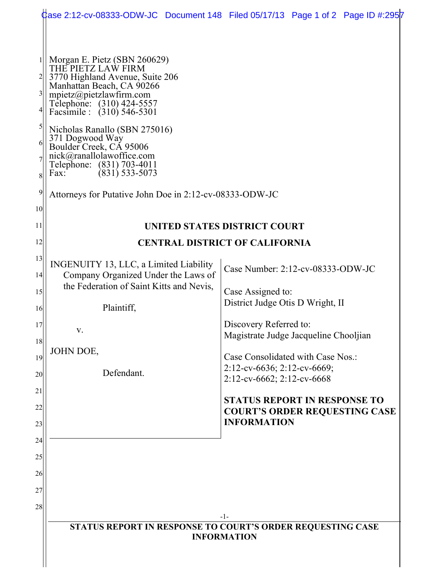|                                                              |                                                                                                                                                                                                                                                                                                                                                                                                                                          | Case 2:12-cv-08333-ODW-JC Document 148 Filed 05/17/13 Page 1 of 2 Page ID #:2957 |
|--------------------------------------------------------------|------------------------------------------------------------------------------------------------------------------------------------------------------------------------------------------------------------------------------------------------------------------------------------------------------------------------------------------------------------------------------------------------------------------------------------------|----------------------------------------------------------------------------------|
| $\overline{3}$<br>$\mathfrak{h}$<br>6<br>8<br>$\overline{9}$ | Morgan E. Pietz (SBN 260629)<br>THE PIETZ LAW FIRM<br>3770 Highland Avenue, Suite 206<br>Manhattan Beach, CA 90266<br>mpietz@pietzlawfirm.com<br>Telephone: (310) 424-5557<br>Facsimile : (310) 546-5301<br>Nicholas Ranallo (SBN 275016)<br>371 Dogwood Way<br>Boulder Creek, CA 95006<br>nick@ranallolawoffice.com<br>Telephone: (831) 703-4011<br>$(831)$ 533-5073<br>Fax:<br>Attorneys for Putative John Doe in 2:12-cv-08333-ODW-JC |                                                                                  |
| 10                                                           |                                                                                                                                                                                                                                                                                                                                                                                                                                          |                                                                                  |
| 11                                                           | UNITED STATES DISTRICT COURT                                                                                                                                                                                                                                                                                                                                                                                                             |                                                                                  |
| 12                                                           | <b>CENTRAL DISTRICT OF CALIFORNIA</b>                                                                                                                                                                                                                                                                                                                                                                                                    |                                                                                  |
| 13<br> 4                                                     | INGENUITY 13, LLC, a Limited Liability<br>Company Organized Under the Laws of                                                                                                                                                                                                                                                                                                                                                            | Case Number: 2:12-cv-08333-ODW-JC                                                |
| 15                                                           | the Federation of Saint Kitts and Nevis,                                                                                                                                                                                                                                                                                                                                                                                                 | Case Assigned to:                                                                |
| 16                                                           | Plaintiff,                                                                                                                                                                                                                                                                                                                                                                                                                               | District Judge Otis D Wright, II                                                 |
| 17                                                           | V.                                                                                                                                                                                                                                                                                                                                                                                                                                       | Discovery Referred to:                                                           |
| 18                                                           |                                                                                                                                                                                                                                                                                                                                                                                                                                          | Magistrate Judge Jacqueline Chooljian                                            |
| 19                                                           | JOHN DOE,                                                                                                                                                                                                                                                                                                                                                                                                                                | Case Consolidated with Case Nos.:                                                |
| 20                                                           | Defendant.                                                                                                                                                                                                                                                                                                                                                                                                                               | 2:12-cv-6636; 2:12-cv-6669;<br>2:12-cv-6662; 2:12-cv-6668                        |
| 21                                                           |                                                                                                                                                                                                                                                                                                                                                                                                                                          | <b>STATUS REPORT IN RESPONSE TO</b>                                              |
| 22                                                           |                                                                                                                                                                                                                                                                                                                                                                                                                                          | <b>COURT'S ORDER REQUESTING CASE</b><br><b>INFORMATION</b>                       |
| 23<br>24                                                     |                                                                                                                                                                                                                                                                                                                                                                                                                                          |                                                                                  |
| 25                                                           |                                                                                                                                                                                                                                                                                                                                                                                                                                          |                                                                                  |
| 26                                                           |                                                                                                                                                                                                                                                                                                                                                                                                                                          |                                                                                  |
| 27                                                           |                                                                                                                                                                                                                                                                                                                                                                                                                                          |                                                                                  |
| 28                                                           |                                                                                                                                                                                                                                                                                                                                                                                                                                          |                                                                                  |
|                                                              |                                                                                                                                                                                                                                                                                                                                                                                                                                          | -1-<br>STATUS REPORT IN RESPONSE TO COURT'S ORDER REQUESTING CASE                |
|                                                              | <b>INFORMATION</b>                                                                                                                                                                                                                                                                                                                                                                                                                       |                                                                                  |
|                                                              |                                                                                                                                                                                                                                                                                                                                                                                                                                          |                                                                                  |